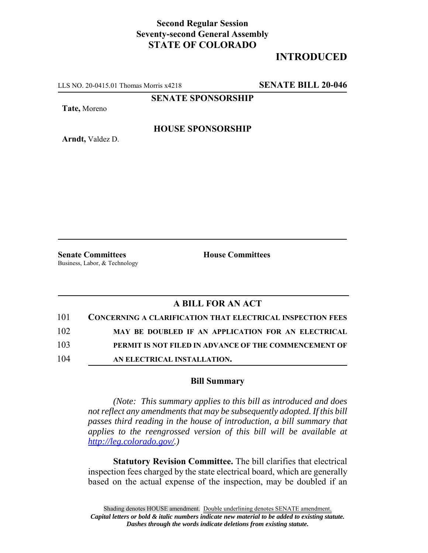## **Second Regular Session Seventy-second General Assembly STATE OF COLORADO**

## **INTRODUCED**

LLS NO. 20-0415.01 Thomas Morris x4218 **SENATE BILL 20-046**

**SENATE SPONSORSHIP**

**Tate,** Moreno

**HOUSE SPONSORSHIP**

**Arndt,** Valdez D.

**Senate Committees House Committees** Business, Labor, & Technology

## **A BILL FOR AN ACT**

| 101 | <b>CONCERNING A CLARIFICATION THAT ELECTRICAL INSPECTION FEES</b> |
|-----|-------------------------------------------------------------------|
| 102 | MAY BE DOUBLED IF AN APPLICATION FOR AN ELECTRICAL                |
| 103 | PERMIT IS NOT FILED IN ADVANCE OF THE COMMENCEMENT OF             |
| 104 | AN ELECTRICAL INSTALLATION.                                       |

## **Bill Summary**

*(Note: This summary applies to this bill as introduced and does not reflect any amendments that may be subsequently adopted. If this bill passes third reading in the house of introduction, a bill summary that applies to the reengrossed version of this bill will be available at http://leg.colorado.gov/.)*

**Statutory Revision Committee.** The bill clarifies that electrical inspection fees charged by the state electrical board, which are generally based on the actual expense of the inspection, may be doubled if an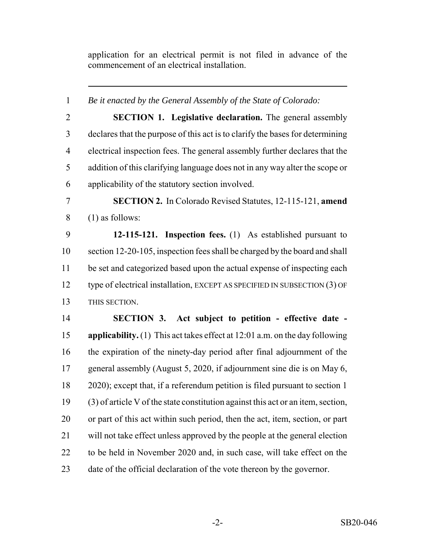application for an electrical permit is not filed in advance of the commencement of an electrical installation.

 *Be it enacted by the General Assembly of the State of Colorado:* **SECTION 1. Legislative declaration.** The general assembly declares that the purpose of this act is to clarify the bases for determining electrical inspection fees. The general assembly further declares that the addition of this clarifying language does not in any way alter the scope or applicability of the statutory section involved. **SECTION 2.** In Colorado Revised Statutes, 12-115-121, **amend** (1) as follows: **12-115-121. Inspection fees.** (1) As established pursuant to section 12-20-105, inspection fees shall be charged by the board and shall be set and categorized based upon the actual expense of inspecting each type of electrical installation, EXCEPT AS SPECIFIED IN SUBSECTION (3) OF THIS SECTION. **SECTION 3. Act subject to petition - effective date - applicability.** (1) This act takes effect at 12:01 a.m. on the day following the expiration of the ninety-day period after final adjournment of the general assembly (August 5, 2020, if adjournment sine die is on May 6, 2020); except that, if a referendum petition is filed pursuant to section 1 (3) of article V of the state constitution against this act or an item, section, or part of this act within such period, then the act, item, section, or part will not take effect unless approved by the people at the general election to be held in November 2020 and, in such case, will take effect on the date of the official declaration of the vote thereon by the governor.